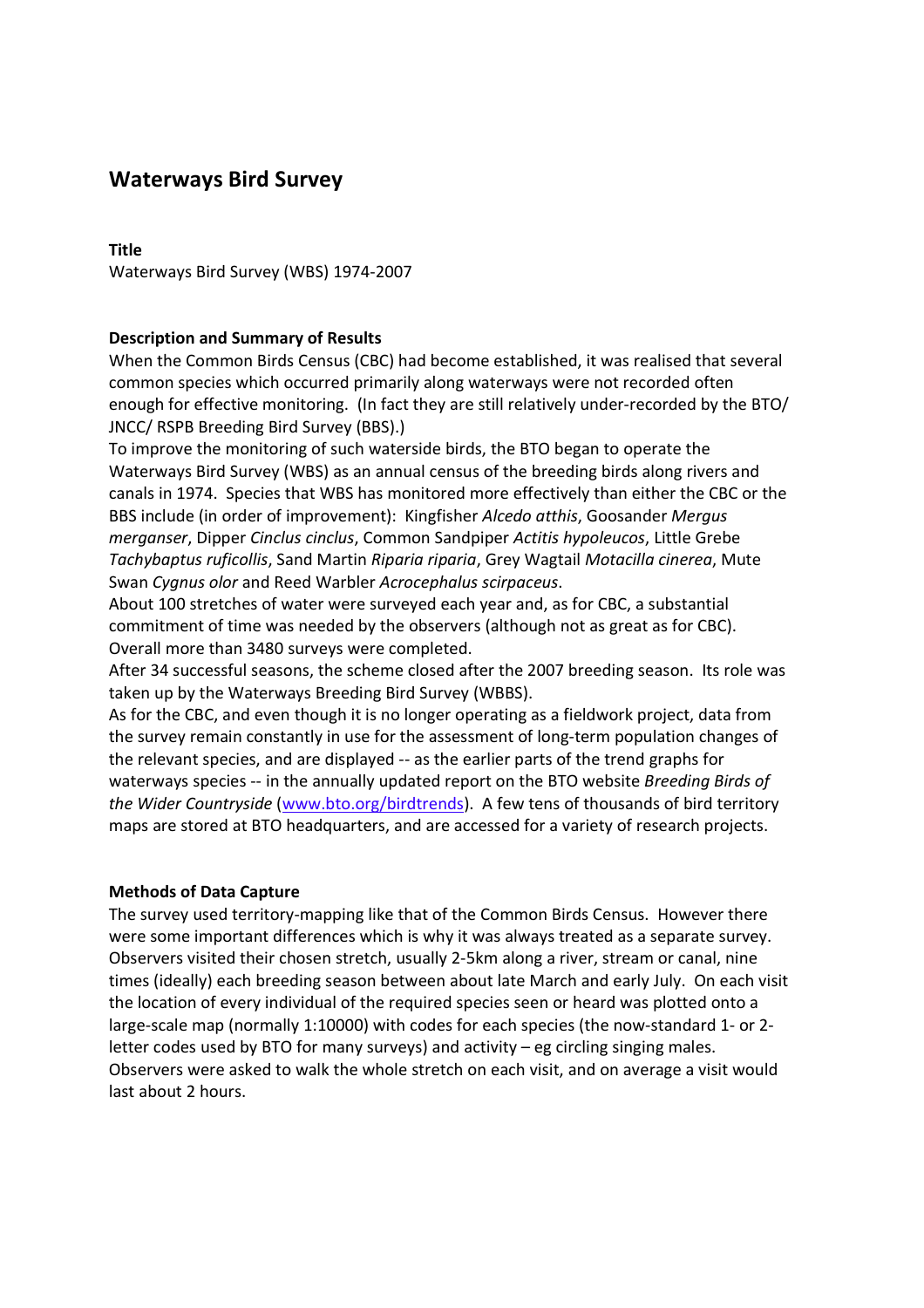# **Waterways Bird Survey**

### **Title**

Waterways Bird Survey (WBS) 1974-2007

# **Description and Summary of Results**

When the Common Birds Census (CBC) had become established, it was realised that several common species which occurred primarily along waterways were not recorded often enough for effective monitoring. (In fact they are still relatively under-recorded by the BTO/ JNCC/ RSPB Breeding Bird Survey (BBS).)

To improve the monitoring of such waterside birds, the BTO began to operate the Waterways Bird Survey (WBS) as an annual census of the breeding birds along rivers and canals in 1974. Species that WBS has monitored more effectively than either the CBC or the BBS include (in order of improvement): Kingfisher *Alcedo atthis*, Goosander *Mergus merganser*, Dipper *Cinclus cinclus*, Common Sandpiper *Actitis hypoleucos*, Little Grebe *Tachybaptus ruficollis*, Sand Martin *Riparia riparia*, Grey Wagtail *Motacilla cinerea*, Mute Swan *Cygnus olor* and Reed Warbler *Acrocephalus scirpaceus*.

About 100 stretches of water were surveyed each year and, as for CBC, a substantial commitment of time was needed by the observers (although not as great as for CBC). Overall more than 3480 surveys were completed.

After 34 successful seasons, the scheme closed after the 2007 breeding season. Its role was taken up by the Waterways Breeding Bird Survey (WBBS).

As for the CBC, and even though it is no longer operating as a fieldwork project, data from the survey remain constantly in use for the assessment of long-term population changes of the relevant species, and are displayed -- as the earlier parts of the trend graphs for waterways species -- in the annually updated report on the BTO website *Breeding Birds of the Wider Countryside* (www.bto.org/birdtrends). A few tens of thousands of bird territory maps are stored at BTO headquarters, and are accessed for a variety of research projects.

# **Methods of Data Capture**

The survey used territory-mapping like that of the Common Birds Census. However there were some important differences which is why it was always treated as a separate survey. Observers visited their chosen stretch, usually 2-5km along a river, stream or canal, nine times (ideally) each breeding season between about late March and early July. On each visit the location of every individual of the required species seen or heard was plotted onto a large-scale map (normally 1:10000) with codes for each species (the now-standard 1- or 2 letter codes used by BTO for many surveys) and activity – eg circling singing males. Observers were asked to walk the whole stretch on each visit, and on average a visit would last about 2 hours.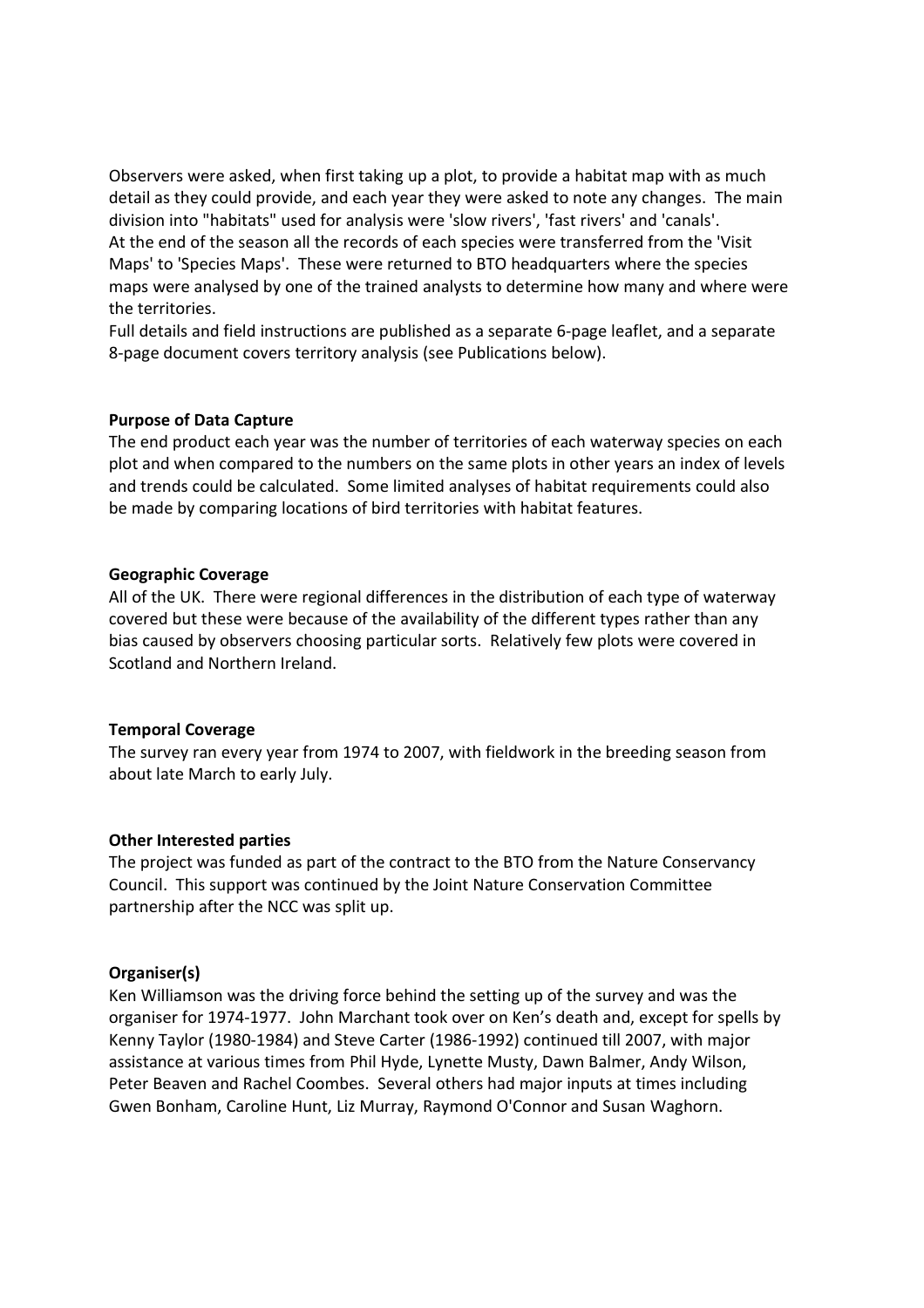Observers were asked, when first taking up a plot, to provide a habitat map with as much detail as they could provide, and each year they were asked to note any changes. The main division into "habitats" used for analysis were 'slow rivers', 'fast rivers' and 'canals'. At the end of the season all the records of each species were transferred from the 'Visit Maps' to 'Species Maps'. These were returned to BTO headquarters where the species maps were analysed by one of the trained analysts to determine how many and where were the territories.

Full details and field instructions are published as a separate 6-page leaflet, and a separate 8-page document covers territory analysis (see Publications below).

### **Purpose of Data Capture**

The end product each year was the number of territories of each waterway species on each plot and when compared to the numbers on the same plots in other years an index of levels and trends could be calculated. Some limited analyses of habitat requirements could also be made by comparing locations of bird territories with habitat features.

#### **Geographic Coverage**

All of the UK. There were regional differences in the distribution of each type of waterway covered but these were because of the availability of the different types rather than any bias caused by observers choosing particular sorts. Relatively few plots were covered in Scotland and Northern Ireland.

#### **Temporal Coverage**

The survey ran every year from 1974 to 2007, with fieldwork in the breeding season from about late March to early July.

#### **Other Interested parties**

The project was funded as part of the contract to the BTO from the Nature Conservancy Council. This support was continued by the Joint Nature Conservation Committee partnership after the NCC was split up.

#### **Organiser(s)**

Ken Williamson was the driving force behind the setting up of the survey and was the organiser for 1974-1977. John Marchant took over on Ken's death and, except for spells by Kenny Taylor (1980-1984) and Steve Carter (1986-1992) continued till 2007, with major assistance at various times from Phil Hyde, Lynette Musty, Dawn Balmer, Andy Wilson, Peter Beaven and Rachel Coombes.Several others had major inputs at times including Gwen Bonham, Caroline Hunt, Liz Murray, Raymond O'Connor and Susan Waghorn.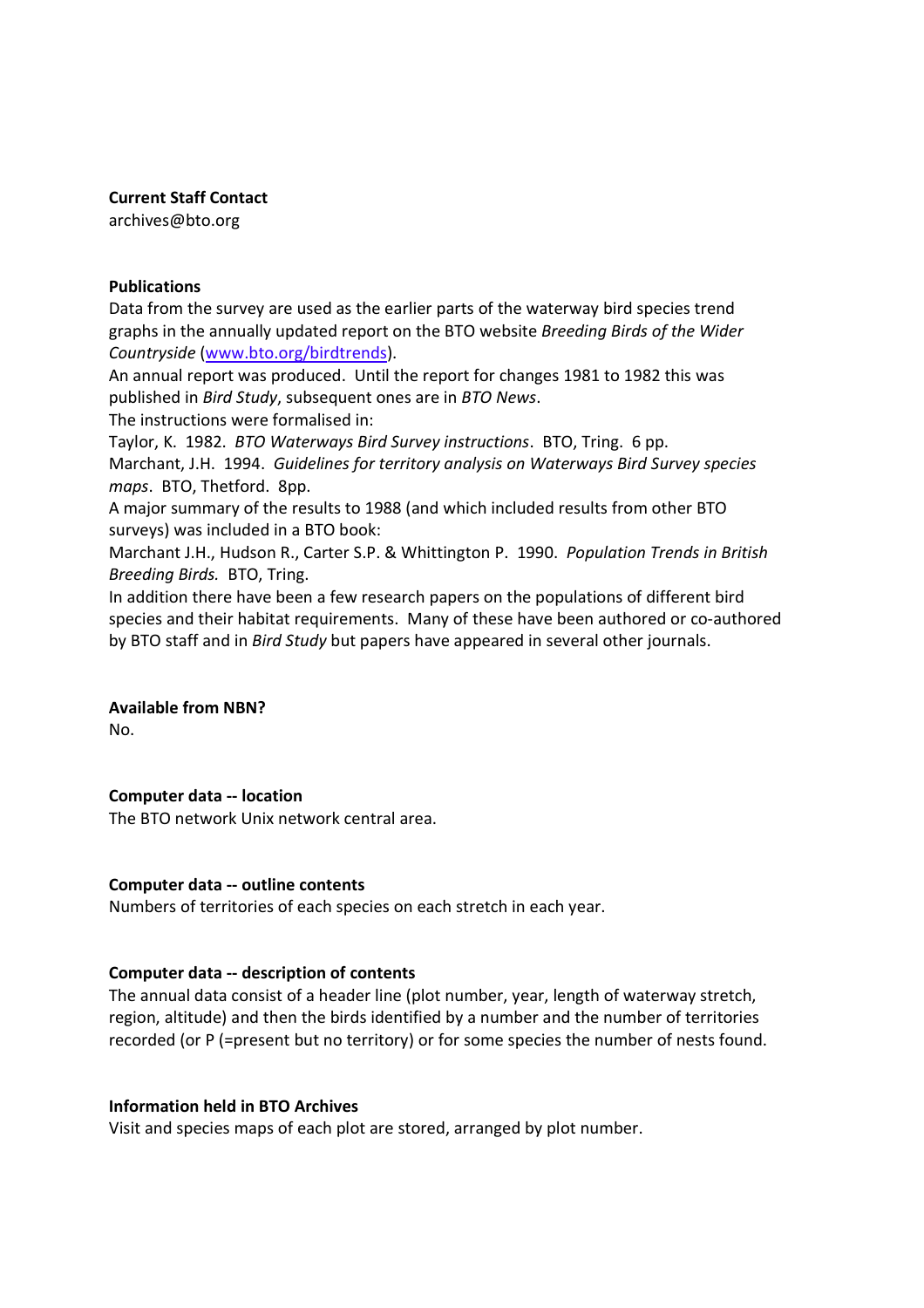### **Current Staff Contact**

archives@bto.org

### **Publications**

Data from the survey are used as the earlier parts of the waterway bird species trend graphs in the annually updated report on the BTO website *Breeding Birds of the Wider Countryside* (www.bto.org/birdtrends).

An annual report was produced. Until the report for changes 1981 to 1982 this was published in *Bird Study*, subsequent ones are in *BTO News*.

The instructions were formalised in:

Taylor, K. 1982. *BTO Waterways Bird Survey instructions*. BTO, Tring. 6 pp. Marchant, J.H. 1994. *Guidelines for territory analysis on Waterways Bird Survey species maps*. BTO, Thetford. 8pp.

A major summary of the results to 1988 (and which included results from other BTO surveys) was included in a BTO book:

Marchant J.H., Hudson R., Carter S.P. & Whittington P. 1990. *Population Trends in British Breeding Birds.* BTO, Tring.

In addition there have been a few research papers on the populations of different bird species and their habitat requirements. Many of these have been authored or co-authored by BTO staff and in *Bird Study* but papers have appeared in several other journals.

### **Available from NBN?** No.

# **Computer data -- location**

The BTO network Unix network central area.

# **Computer data -- outline contents**

Numbers of territories of each species on each stretch in each year.

# **Computer data -- description of contents**

The annual data consist of a header line (plot number, year, length of waterway stretch, region, altitude) and then the birds identified by a number and the number of territories recorded (or P (=present but no territory) or for some species the number of nests found.

# **Information held in BTO Archives**

Visit and species maps of each plot are stored, arranged by plot number.